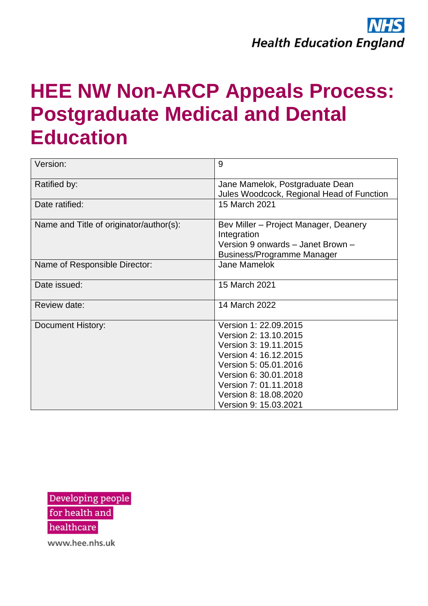

## **HEE NW Non-ARCP Appeals Process: Postgraduate Medical and Dental Education**

| Version:                                | 9                                                                                                                                                                                                                             |  |
|-----------------------------------------|-------------------------------------------------------------------------------------------------------------------------------------------------------------------------------------------------------------------------------|--|
| Ratified by:                            | Jane Mamelok, Postgraduate Dean<br>Jules Woodcock, Regional Head of Function                                                                                                                                                  |  |
| Date ratified:                          | 15 March 2021                                                                                                                                                                                                                 |  |
| Name and Title of originator/author(s): | Bev Miller – Project Manager, Deanery<br>Integration<br>Version 9 onwards - Janet Brown -<br><b>Business/Programme Manager</b>                                                                                                |  |
| Name of Responsible Director:           | <b>Jane Mamelok</b>                                                                                                                                                                                                           |  |
| Date issued:                            | 15 March 2021                                                                                                                                                                                                                 |  |
| Review date:                            | 14 March 2022                                                                                                                                                                                                                 |  |
| <b>Document History:</b>                | Version 1: 22.09.2015<br>Version 2: 13.10.2015<br>Version 3: 19.11.2015<br>Version 4: 16.12.2015<br>Version 5: 05.01.2016<br>Version 6: 30.01.2018<br>Version 7: 01.11.2018<br>Version 8: 18.08.2020<br>Version 9: 15.03.2021 |  |

Developing people for health and

healthcare

www.hee.nhs.uk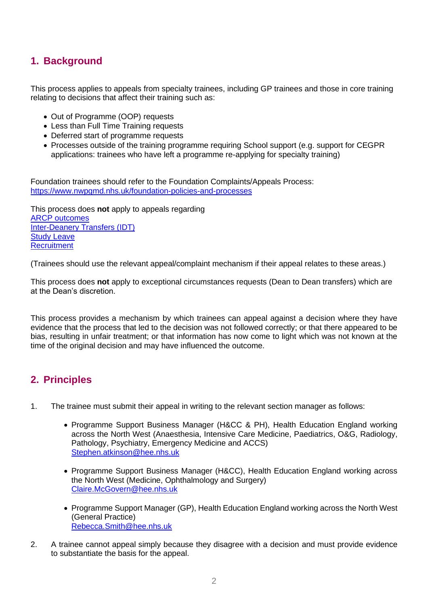## **1. Background**

This process applies to appeals from specialty trainees, including GP trainees and those in core training relating to decisions that affect their training such as:

- Out of Programme (OOP) requests
- Less than Full Time Training requests
- Deferred start of programme requests
- Processes outside of the training programme requiring School support (e.g. support for CEGPR applications: trainees who have left a programme re-applying for specialty training)

Foundation trainees should refer to the Foundation Complaints/Appeals Process: <https://www.nwpgmd.nhs.uk/foundation-policies-and-processes>

This process does **not** apply to appeals regarding [ARCP outcomes](https://nwpgmd.nhs.uk/sites/default/files/Formal%20Appeals%20Process%20%20External%20Guidance%20V9_0.pdf) [Inter-Deanery Transfers \(IDT\)](https://specialtytraining.hee.nhs.uk/Resources-Bank) Study [Leave](https://www.hee.nhs.uk/sites/default/files/documents/National%20Study%20Leave%20Appeals%20Process%20FINAL%20NOV%202020%20%28002%29_0.pdf) **[Recruitment](https://nwpgmd.nhs.uk/sites/default/files/mdrs%20complaints%20policy%202021.pdf)** 

(Trainees should use the relevant appeal/complaint mechanism if their appeal relates to these areas.)

This process does **not** apply to exceptional circumstances requests (Dean to Dean transfers) which are at the Dean's discretion.

This process provides a mechanism by which trainees can appeal against a decision where they have evidence that the process that led to the decision was not followed correctly; or that there appeared to be bias, resulting in unfair treatment; or that information has now come to light which was not known at the time of the original decision and may have influenced the outcome.

## **2. Principles**

- 1. The trainee must submit their appeal in writing to the relevant section manager as follows:
	- Programme Support Business Manager (H&CC & PH), Health Education England working across the North West (Anaesthesia, Intensive Care Medicine, Paediatrics, O&G, Radiology, Pathology, Psychiatry, Emergency Medicine and ACCS) [Stephen.atkinson@hee.nhs.uk](mailto:Stephen.atkinson@hee.nhs.uk)
	- Programme Support Business Manager (H&CC), Health Education England working across the North West (Medicine, Ophthalmology and Surgery) [Claire.McGovern@hee.nhs.uk](mailto:Jill.Cudd@hee.nhs.uk)
	- Programme Support Manager (GP), Health Education England working across the North West (General Practice) [Rebecca.](mailto:Gemma.Bradshaw@hee.nhs.uk)Smith@hee.nhs.uk
- 2. A trainee cannot appeal simply because they disagree with a decision and must provide evidence to substantiate the basis for the appeal.